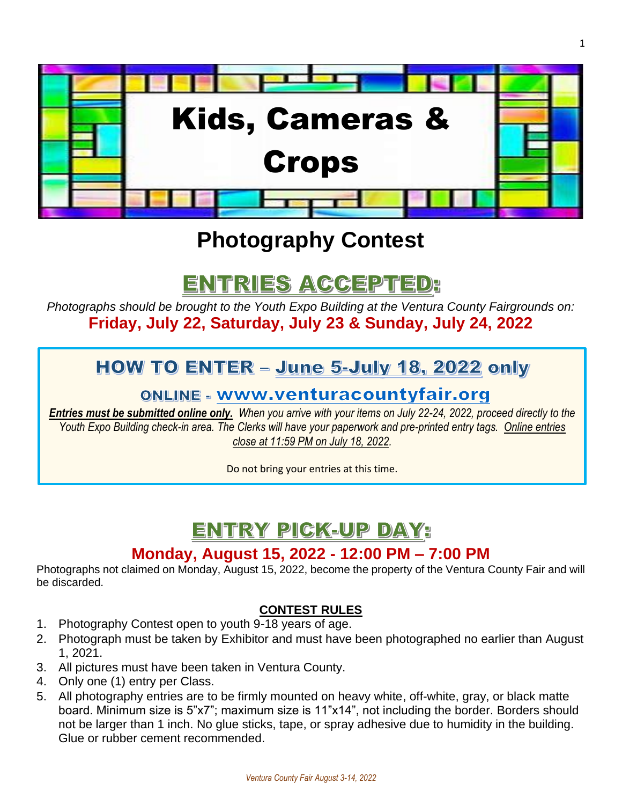

# **Photography Contest**

# ENTRIES ACCEPTED:

*Photographs should be brought to the Youth Expo Building at the Ventura County Fairgrounds on:* **Friday, July 22, Saturday, July 23 & Sunday, July 24, 2022**

## HOW TO ENTER - June 5-July 18, 2022 only

### **ONLINE - www.venturacountyfair.org**

*Entries must be submitted online only. When you arrive with your items on July 22-24, 2022, proceed directly to the Youth Expo Building check-in area. The Clerks will have your paperwork and pre-printed entry tags. Online entries close at 11:59 PM on July 18, 2022.*

Do not bring your entries at this time.

## ENTRY PICK-UP DAY:

## **Monday, August 15, 2022 - 12:00 PM – 7:00 PM**

Photographs not claimed on Monday, August 15, 2022, become the property of the Ventura County Fair and will be discarded.

#### **CONTEST RULES**

- 1. Photography Contest open to youth 9-18 years of age.
- 2. Photograph must be taken by Exhibitor and must have been photographed no earlier than August 1, 2021.
- 3. All pictures must have been taken in Ventura County.
- 4. Only one (1) entry per Class.
- 5. All photography entries are to be firmly mounted on heavy white, off-white, gray, or black matte board. Minimum size is 5"x7"; maximum size is 11"x14", not including the border. Borders should not be larger than 1 inch. No glue sticks, tape, or spray adhesive due to humidity in the building. Glue or rubber cement recommended.